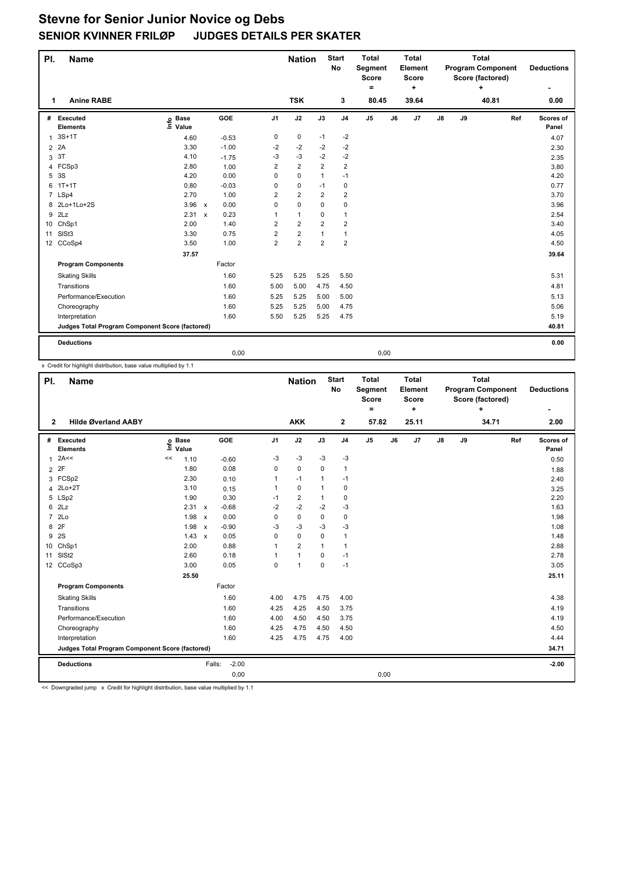## **Stevne for Senior Junior Novice og Debs SENIOR KVINNER FRILØP JUDGES DETAILS PER SKATER**

| PI. | <b>Name</b>                                     |                   |  |         |                | <b>Nation</b>           |                | <b>Start</b><br><b>No</b> | <b>Total</b><br>Segment<br><b>Score</b><br>۰ |    | <b>Total</b><br>Element<br><b>Score</b><br>÷ |               | <b>Total</b><br><b>Program Component</b><br>Score (factored)<br>+ |       |     | <b>Deductions</b>  |
|-----|-------------------------------------------------|-------------------|--|---------|----------------|-------------------------|----------------|---------------------------|----------------------------------------------|----|----------------------------------------------|---------------|-------------------------------------------------------------------|-------|-----|--------------------|
| 1   | <b>Anine RABE</b>                               |                   |  |         |                | <b>TSK</b>              |                | 3                         | 80.45                                        |    | 39.64                                        |               |                                                                   | 40.81 |     | 0.00               |
| #   | Executed<br><b>Elements</b>                     | e Base<br>⊑ Value |  | GOE     | J <sub>1</sub> | J2                      | J3             | J <sub>4</sub>            | J <sub>5</sub>                               | J6 | J7                                           | $\mathsf{J}8$ | J9                                                                |       | Ref | Scores of<br>Panel |
| 1   | $3S+1T$                                         | 4.60              |  | $-0.53$ | 0              | 0                       | $-1$           | $-2$                      |                                              |    |                                              |               |                                                                   |       |     | 4.07               |
|     | 2 2A                                            | 3.30              |  | $-1.00$ | -2             | $-2$                    | $-2$           | $-2$                      |                                              |    |                                              |               |                                                                   |       |     | 2.30               |
| 3   | 3T                                              | 4.10              |  | $-1.75$ | -3             | -3                      | $-2$           | $-2$                      |                                              |    |                                              |               |                                                                   |       |     | 2.35               |
|     | 4 FCSp3                                         | 2.80              |  | 1.00    | 2              | $\overline{2}$          | $\overline{2}$ | $\overline{2}$            |                                              |    |                                              |               |                                                                   |       |     | 3.80               |
| 5   | 3S                                              | 4.20              |  | 0.00    | 0              | $\mathbf 0$             | $\mathbf{1}$   | $-1$                      |                                              |    |                                              |               |                                                                   |       |     | 4.20               |
| 6   | $1T+1T$                                         | 0.80              |  | $-0.03$ | 0              | 0                       | $-1$           | 0                         |                                              |    |                                              |               |                                                                   |       |     | 0.77               |
|     | 7 LSp4                                          | 2.70              |  | 1.00    | $\overline{2}$ | $\overline{2}$          | $\overline{2}$ | $\overline{2}$            |                                              |    |                                              |               |                                                                   |       |     | 3.70               |
|     | 8 2Lo+1Lo+2S                                    | 3.96 x            |  | 0.00    | $\mathbf 0$    | 0                       | 0              | $\mathbf 0$               |                                              |    |                                              |               |                                                                   |       |     | 3.96               |
| 9   | 2Lz                                             | 2.31 x            |  | 0.23    | 1              | $\mathbf{1}$            | $\Omega$       | 1                         |                                              |    |                                              |               |                                                                   |       |     | 2.54               |
| 10  | ChSp1                                           | 2.00              |  | 1.40    | 2              | $\overline{2}$          | $\overline{2}$ | $\overline{2}$            |                                              |    |                                              |               |                                                                   |       |     | 3.40               |
| 11  | SISt <sub>3</sub>                               | 3.30              |  | 0.75    | $\overline{2}$ | $\overline{\mathbf{c}}$ | $\mathbf{1}$   | $\mathbf{1}$              |                                              |    |                                              |               |                                                                   |       |     | 4.05               |
|     | 12 CCoSp4                                       | 3.50              |  | 1.00    | $\overline{2}$ | $\overline{2}$          | $\overline{2}$ | $\overline{2}$            |                                              |    |                                              |               |                                                                   |       |     | 4.50               |
|     |                                                 | 37.57             |  |         |                |                         |                |                           |                                              |    |                                              |               |                                                                   |       |     | 39.64              |
|     | <b>Program Components</b>                       |                   |  | Factor  |                |                         |                |                           |                                              |    |                                              |               |                                                                   |       |     |                    |
|     | <b>Skating Skills</b>                           |                   |  | 1.60    | 5.25           | 5.25                    | 5.25           | 5.50                      |                                              |    |                                              |               |                                                                   |       |     | 5.31               |
|     | Transitions                                     |                   |  | 1.60    | 5.00           | 5.00                    | 4.75           | 4.50                      |                                              |    |                                              |               |                                                                   |       |     | 4.81               |
|     | Performance/Execution                           |                   |  | 1.60    | 5.25           | 5.25                    | 5.00           | 5.00                      |                                              |    |                                              |               |                                                                   |       |     | 5.13               |
|     | Choreography                                    |                   |  | 1.60    | 5.25           | 5.25                    | 5.00           | 4.75                      |                                              |    |                                              |               |                                                                   |       |     | 5.06               |
|     | Interpretation                                  |                   |  | 1.60    | 5.50           | 5.25                    | 5.25           | 4.75                      |                                              |    |                                              |               |                                                                   |       |     | 5.19               |
|     | Judges Total Program Component Score (factored) |                   |  |         |                |                         |                |                           |                                              |    |                                              |               |                                                                   |       |     | 40.81              |
|     | <b>Deductions</b>                               |                   |  |         |                |                         |                |                           |                                              |    |                                              |               |                                                                   |       |     | 0.00               |

0,00 0,00

x Credit for highlight distribution, base value multiplied by 1.1

| PI.            | <b>Name</b>                                     |                            |              |                   |                | <b>Nation</b>  |              | <b>Start</b><br>No | <b>Total</b><br>Segment<br><b>Score</b><br>$\equiv$ |    | <b>Total</b><br>Element<br><b>Score</b><br>÷ |               | <b>Total</b><br><b>Program Component</b><br>Score (factored) |       | <b>Deductions</b> |                    |
|----------------|-------------------------------------------------|----------------------------|--------------|-------------------|----------------|----------------|--------------|--------------------|-----------------------------------------------------|----|----------------------------------------------|---------------|--------------------------------------------------------------|-------|-------------------|--------------------|
| $\mathbf{2}$   | <b>Hilde Øverland AABY</b>                      |                            |              |                   |                | <b>AKK</b>     |              | $\mathbf{2}$       | 57.82                                               |    | 25.11                                        |               |                                                              | 34.71 |                   | 2.00               |
| #              | Executed<br><b>Elements</b>                     | <b>Base</b><br>١ć<br>Value |              | <b>GOE</b>        | J <sub>1</sub> | J2             | J3           | J <sub>4</sub>     | J <sub>5</sub>                                      | J6 | J7                                           | $\mathsf{J}8$ | J9                                                           |       | Ref               | Scores of<br>Panel |
| $\mathbf{1}$   | 2A<<                                            | 1.10<br><<                 |              | $-0.60$           | -3             | $-3$           | $-3$         | $-3$               |                                                     |    |                                              |               |                                                              |       |                   | 0.50               |
| $\overline{2}$ | 2F                                              | 1.80                       |              | 0.08              | 0              | 0              | $\Omega$     | $\mathbf{1}$       |                                                     |    |                                              |               |                                                              |       |                   | 1.88               |
|                | 3 FCSp2                                         | 2.30                       |              | 0.10              | 1              | $-1$           | 1            | $-1$               |                                                     |    |                                              |               |                                                              |       |                   | 2.40               |
| 4              | $2Lo+2T$                                        | 3.10                       |              | 0.15              | 1              | $\mathbf 0$    | 1            | $\mathbf 0$        |                                                     |    |                                              |               |                                                              |       |                   | 3.25               |
| 5              | LSp2                                            | 1.90                       |              | 0.30              | $-1$           | $\overline{2}$ | 1            | 0                  |                                                     |    |                                              |               |                                                              |       |                   | 2.20               |
| 6              | 2Lz                                             | 2.31                       | $\mathbf{x}$ | $-0.68$           | $-2$           | $-2$           | $-2$         | $-3$               |                                                     |    |                                              |               |                                                              |       |                   | 1.63               |
| $\overline{7}$ | 2Lo                                             | 1.98                       | $\mathbf{x}$ | 0.00              | 0              | $\pmb{0}$      | 0            | 0                  |                                                     |    |                                              |               |                                                              |       |                   | 1.98               |
| 8              | 2F                                              | 1.98                       | $\mathsf{x}$ | $-0.90$           | $-3$           | $-3$           | -3           | $-3$               |                                                     |    |                                              |               |                                                              |       |                   | 1.08               |
| 9              | 2S                                              | 1.43                       | $\mathbf{x}$ | 0.05              | 0              | $\mathbf 0$    | $\mathbf 0$  | $\mathbf{1}$       |                                                     |    |                                              |               |                                                              |       |                   | 1.48               |
| 10             | ChSp1                                           | 2.00                       |              | 0.88              | 1              | $\overline{2}$ | $\mathbf{1}$ | $\mathbf{1}$       |                                                     |    |                                              |               |                                                              |       |                   | 2.88               |
| 11             | SISt <sub>2</sub>                               | 2.60                       |              | 0.18              | 1              | $\mathbf{1}$   | 0            | $-1$               |                                                     |    |                                              |               |                                                              |       |                   | 2.78               |
|                | 12 CCoSp3                                       | 3.00                       |              | 0.05              | $\mathbf 0$    | $\overline{1}$ | $\mathbf 0$  | $-1$               |                                                     |    |                                              |               |                                                              |       |                   | 3.05               |
|                |                                                 | 25.50                      |              |                   |                |                |              |                    |                                                     |    |                                              |               |                                                              |       |                   | 25.11              |
|                | <b>Program Components</b>                       |                            |              | Factor            |                |                |              |                    |                                                     |    |                                              |               |                                                              |       |                   |                    |
|                | <b>Skating Skills</b>                           |                            |              | 1.60              | 4.00           | 4.75           | 4.75         | 4.00               |                                                     |    |                                              |               |                                                              |       |                   | 4.38               |
|                | Transitions                                     |                            |              | 1.60              | 4.25           | 4.25           | 4.50         | 3.75               |                                                     |    |                                              |               |                                                              |       |                   | 4.19               |
|                | Performance/Execution                           |                            |              | 1.60              | 4.00           | 4.50           | 4.50         | 3.75               |                                                     |    |                                              |               |                                                              |       |                   | 4.19               |
|                | Choreography                                    |                            |              | 1.60              | 4.25           | 4.75           | 4.50         | 4.50               |                                                     |    |                                              |               |                                                              |       |                   | 4.50               |
|                | Interpretation                                  |                            |              | 1.60              | 4.25           | 4.75           | 4.75         | 4.00               |                                                     |    |                                              |               |                                                              |       |                   | 4.44               |
|                | Judges Total Program Component Score (factored) |                            |              |                   |                |                |              |                    |                                                     |    |                                              |               | 34.71                                                        |       |                   |                    |
|                | <b>Deductions</b>                               |                            |              | $-2.00$<br>Falls: |                |                |              |                    |                                                     |    |                                              |               |                                                              |       |                   | $-2.00$            |
|                |                                                 |                            |              | 0,00              |                |                |              |                    | 0,00                                                |    |                                              |               |                                                              |       |                   |                    |

<< Downgraded jump x Credit for highlight distribution, base value multiplied by 1.1